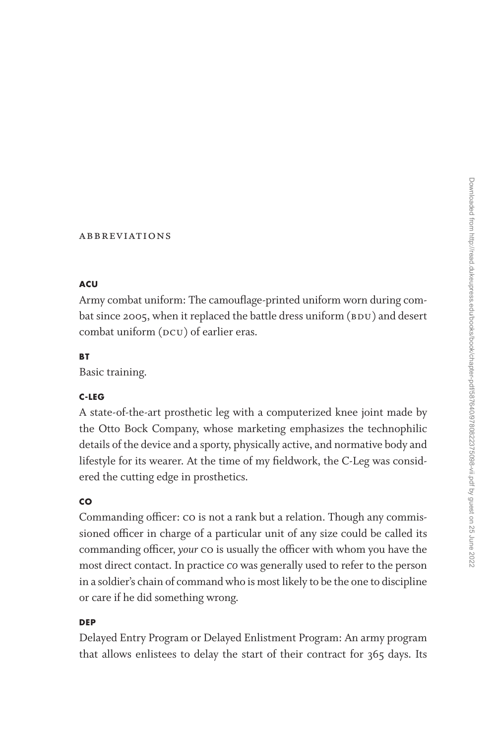#### **ABBREVIATIONS**

#### **ACU**

Army combat uniform: The camouflage-printed uniform worn during combat since 2005, when it replaced the battle dress uniform (BDU) and desert combat uniform (DCU) of earlier eras.

## **BT**

Basic training.

#### **C-LEG**

A state-of-the-art prosthetic leg with a computerized knee joint made by the Otto Bock Company, whose marketing emphasizes the technophilic details of the device and a sporty, physically active, and normative body and lifestyle for its wearer. At the time of my fieldwork, the C-Leg was considered the cutting edge in prosthetics.

## **CO**

Commanding officer: co is not a rank but a relation. Though any commissioned officer in charge of a particular unit of any size could be called its commanding officer, *your* co is usually the officer with whom you have the most direct contact. In practice *co* was generally used to refer to the person in a soldier's chain of command who is most likely to be the one to discipline or care if he did something wrong.

#### **DEP**

Delayed Entry Program or Delayed Enlistment Program: An army program that allows enlistees to delay the start of their contract for 365 days. Its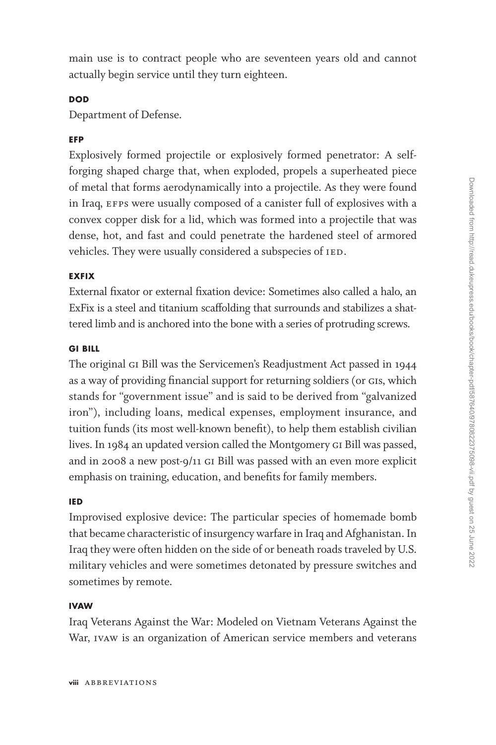main use is to contract people who are seventeen years old and cannot actually begin service until they turn eighteen.

## **DOD**

Department of Defense.

# **EFP**

Explosively formed projectile or explosively formed penetrator: A selfforging shaped charge that, when exploded, propels a superheated piece of metal that forms aerodynamically into a projectile. As they were found in Iraq, EFPs were usually composed of a canister full of explosives with a convex copper disk for a lid, which was formed into a projectile that was dense, hot, and fast and could penetrate the hardened steel of armored vehicles. They were usually considered a subspecies of IED.

## **EXFIX**

External fixator or external fixation device: Sometimes also called a halo, an ExFix is a steel and titanium scaffolding that surrounds and stabilizes a shattered limb and is anchored into the bone with a series of protruding screws.

# **GI BILL**

The original GI Bill was the Servicemen's Readjustment Act passed in 1944 as a way of providing financial support for returning soldiers (or gis, which stands for "government issue" and is said to be derived from "galvanized iron"), including loans, medical expenses, employment insurance, and tuition funds (its most well-known benefit), to help them establish civilian lives. In 1984 an updated version called the Montgomery gi Bill was passed, and in 2008 a new post-9/11 gi Bill was passed with an even more explicit emphasis on training, education, and benefits for family members.

## **IED**

Improvised explosive device: The particular species of homemade bomb that became characteristic of insurgency warfare in Iraq and Afghanistan. In Iraq they were often hidden on the side of or beneath roads traveled by U.S. military vehicles and were sometimes detonated by pressure switches and sometimes by remote.

#### **IVAW**

Iraq Veterans Against the War: Modeled on Vietnam Veterans Against the War, ivaw is an organization of American service members and veterans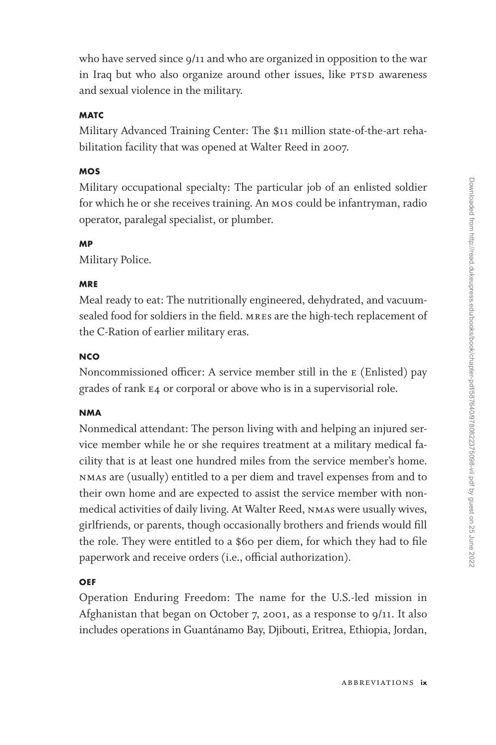who have served since 9/11 and who are organized in opposition to the war in Iraq but who also organize around other issues, like PTSD awareness and sexual violence in the military.

# **MATC**

Military Advanced Training Center: The \$11 million state-of-the-art rehabilitation facility that was opened at Walter Reed in 2007.

# **MOS**

Military occupational specialty: The particular job of an enlisted soldier for which he or she receives training. An mos could be infantryman, radio operator, paralegal specialist, or plumber.

# **MP**

Military Police.

## **MRE**

Meal ready to eat: The nutritionally engineered, dehydrated, and vacuumsealed food for soldiers in the field. mres are the high-tech replacement of the C-Ration of earlier military eras.

# **NCO**

Noncommissioned officer: A service member still in the e (Enlisted) pay grades of rank e4 or corporal or above who is in a supervisorial role.

#### **NMA**

Nonmedical attendant: The person living with and helping an injured service member while he or she requires treatment at a military medical facility that is at least one hundred miles from the service member's home. nmas are (usually) entitled to a per diem and travel expenses from and to their own home and are expected to assist the service member with nonmedical activities of daily living. At Walter Reed, nmas were usually wives, girlfriends, or parents, though occasionally brothers and friends would fill the role. They were entitled to a \$60 per diem, for which they had to file paperwork and receive orders (i.e., official authorization).

#### **OEF**

Operation Enduring Freedom: The name for the U.S.-led mission in Afghanistan that began on October 7, 2001, as a response to 9/11. It also includes operations in Guantánamo Bay, Djibouti, Eritrea, Ethiopia, Jordan,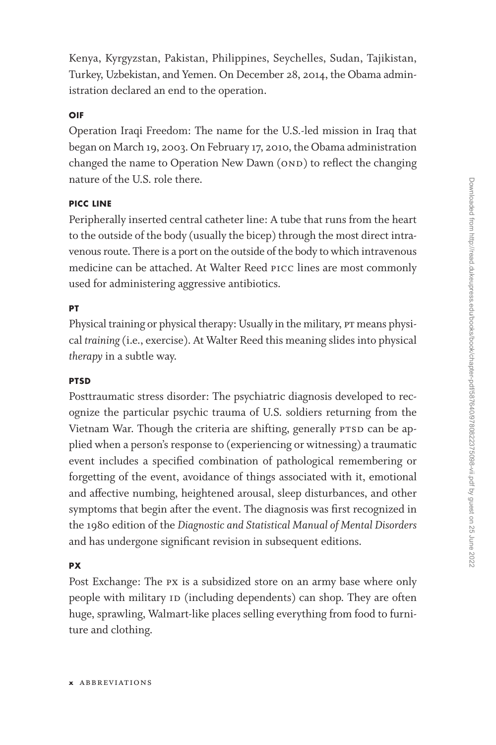Kenya, Kyrgyzstan, Pakistan, Philippines, Seychelles, Sudan, Tajikistan, Turkey, Uzbekistan, and Yemen. On December 28, 2014, the Obama administration declared an end to the operation.

# **OIF**

Operation Iraqi Freedom: The name for the U.S.-led mission in Iraq that began on March 19, 2003. On February 17, 2010, the Obama administration changed the name to Operation New Dawn (OND) to reflect the changing nature of the U.S. role there.

# **PICC LINE**

Peripherally inserted central catheter line: A tube that runs from the heart to the outside of the body (usually the bicep) through the most direct intravenous route. There is a port on the outside of the body to which intravenous medicine can be attached. At Walter Reed picc lines are most commonly used for administering aggressive antibiotics.

# **PT**

Physical training or physical therapy: Usually in the military, PT means physical *training* (i.e., exercise). At Walter Reed this meaning slides into physical *therapy* in a subtle way.

## **PTSD**

Posttraumatic stress disorder: The psychiatric diagnosis developed to recognize the particular psychic trauma of U.S. soldiers returning from the Vietnam War. Though the criteria are shifting, generally PTSD can be applied when a person's response to (experiencing or witnessing) a traumatic event includes a specified combination of pathological remembering or forgetting of the event, avoidance of things associated with it, emotional and affective numbing, heightened arousal, sleep disturbances, and other symptoms that begin after the event. The diagnosis was first recognized in the 1980 edition of the *Diagnostic and Statistical Manual of Mental Disorders* and has undergone significant revision in subsequent editions.

# **PX**

Post Exchange: The px is a subsidized store on an army base where only people with military ID (including dependents) can shop. They are often huge, sprawling, Walmart-like places selling everything from food to furniture and clothing.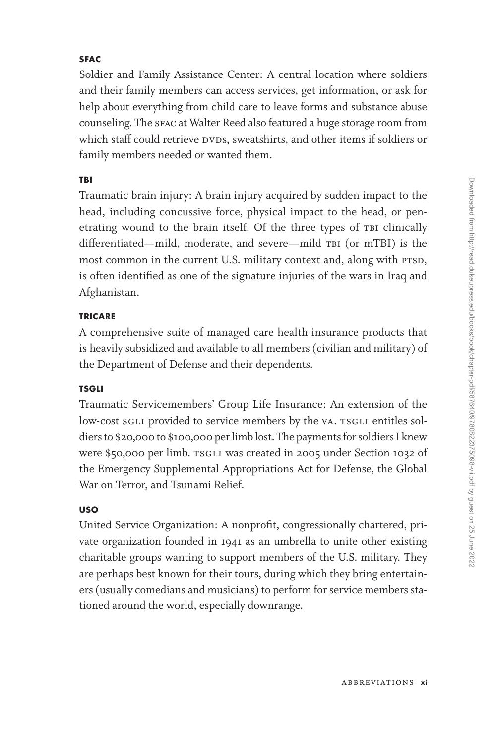# **SFAC**

Soldier and Family Assistance Center: A central location where soldiers and their family members can access services, get information, or ask for help about everything from child care to leave forms and substance abuse counseling. The sfac at Walter Reed also featured a huge storage room from which staff could retrieve DVDs, sweatshirts, and other items if soldiers or family members needed or wanted them.

## **TBI**

Traumatic brain injury: A brain injury acquired by sudden impact to the head, including concussive force, physical impact to the head, or penetrating wound to the brain itself. Of the three types of TBI clinically differentiated—mild, moderate, and severe—mild тви (or mTBI) is the most common in the current U.S. military context and, along with PTSD, is often identified as one of the signature injuries of the wars in Iraq and Afghanistan.

## **TRICARE**

A comprehensive suite of managed care health insurance products that is heavily subsidized and available to all members (civilian and military) of the Department of Defense and their dependents.

# **TSGLI**

Traumatic Servicemembers' Group Life Insurance: An extension of the low-cost sgLI provided to service members by the va. TSGLI entitles soldiers to \$20,000 to \$100,000 per limb lost. The payments for soldiers I knew were \$50,000 per limb. TSGLI was created in 2005 under Section 1032 of the Emergency Supplemental Appropriations Act for Defense, the Global War on Terror, and Tsunami Relief.

## **USO**

United Service Organization: A nonprofit, congressionally chartered, private organization founded in 1941 as an umbrella to unite other existing charitable groups wanting to support members of the U.S. military. They are perhaps best known for their tours, during which they bring entertainers (usually comedians and musicians) to perform for service members stationed around the world, especially downrange.